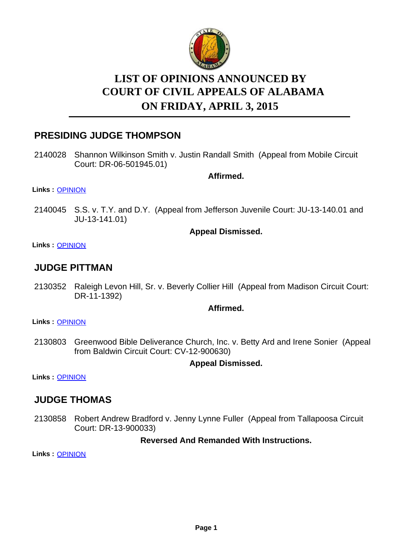

# **LIST OF OPINIONS ANNOUNCED BY ON FRIDAY, APRIL 3, 2015 COURT OF CIVIL APPEALS OF ALABAMA**

# **PRESIDING JUDGE THOMPSON**

2140028 Shannon Wilkinson Smith v. Justin Randall Smith (Appeal from Mobile Circuit Court: DR-06-501945.01)

**Affirmed.**

#### **Links :** [OPINION](https://acis.alabama.gov/displaydocs.cfm?no=649199&event=4BI0MIIIF)

2140045 S.S. v. T.Y. and D.Y. (Appeal from Jefferson Juvenile Court: JU-13-140.01 and JU-13-141.01)

#### **Appeal Dismissed.**

**Links :** [OPINION](https://acis.alabama.gov/displaydocs.cfm?no=649200&event=4BI0MIIPT)

# **JUDGE PITTMAN**

2130352 Raleigh Levon Hill, Sr. v. Beverly Collier Hill (Appeal from Madison Circuit Court: DR-11-1392)

#### **Affirmed.**

**Links :** [OPINION](https://acis.alabama.gov/displaydocs.cfm?no=649193&event=4BI0MIHL3)

2130803 Greenwood Bible Deliverance Church, Inc. v. Betty Ard and Irene Sonier (Appeal from Baldwin Circuit Court: CV-12-900630)

### **Appeal Dismissed.**

**Links :** [OPINION](https://acis.alabama.gov/displaydocs.cfm?no=649194&event=4BI0MIHS0)

# **JUDGE THOMAS**

2130858 Robert Andrew Bradford v. Jenny Lynne Fuller (Appeal from Tallapoosa Circuit Court: DR-13-900033)

**Reversed And Remanded With Instructions.**

**Links :** [OPINION](https://acis.alabama.gov/displaydocs.cfm?no=649196&event=4BI0MIHYY)